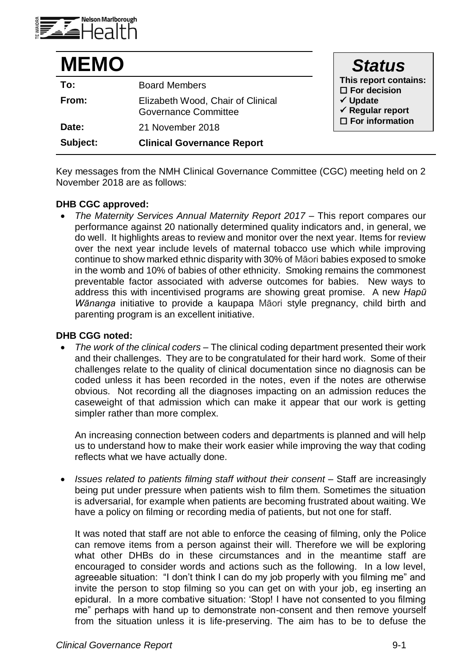

| <b>MEMO</b> |                                                                  | <b>Status</b>                                                                                                                      |
|-------------|------------------------------------------------------------------|------------------------------------------------------------------------------------------------------------------------------------|
| To:         | <b>Board Members</b>                                             | This report contains:<br>$\square$ For decision<br>$\checkmark$ Update<br>$\checkmark$ Regular report<br>$\square$ For information |
| From:       | Elizabeth Wood, Chair of Clinical<br><b>Governance Committee</b> |                                                                                                                                    |
| Date:       | 21 November 2018                                                 |                                                                                                                                    |
| Subject:    | <b>Clinical Governance Report</b>                                |                                                                                                                                    |

Key messages from the NMH Clinical Governance Committee (CGC) meeting held on 2 November 2018 are as follows:

## **DHB CGC approved:**

 *The Maternity Services Annual Maternity Report 2017 –* This report compares our performance against 20 nationally determined quality indicators and, in general, we do well. It highlights areas to review and monitor over the next year. Items for review over the next year include levels of maternal tobacco use which while improving continue to show marked ethnic disparity with 30% of Māori babies exposed to smoke in the womb and 10% of babies of other ethnicity. Smoking remains the commonest preventable factor associated with adverse outcomes for babies. New ways to address this with incentivised programs are showing great promise. A new *Hapū Wānanga* initiative to provide a kaupapa Māori style pregnancy, child birth and parenting program is an excellent initiative.

## **DHB CGG noted:**

 *The work of the clinical coders* – The clinical coding department presented their work and their challenges. They are to be congratulated for their hard work. Some of their challenges relate to the quality of clinical documentation since no diagnosis can be coded unless it has been recorded in the notes, even if the notes are otherwise obvious. Not recording all the diagnoses impacting on an admission reduces the caseweight of that admission which can make it appear that our work is getting simpler rather than more complex.

An increasing connection between coders and departments is planned and will help us to understand how to make their work easier while improving the way that coding reflects what we have actually done.

 *Issues related to patients filming staff without their consent* – Staff are increasingly being put under pressure when patients wish to film them. Sometimes the situation is adversarial, for example when patients are becoming frustrated about waiting. We have a policy on filming or recording media of patients, but not one for staff.

It was noted that staff are not able to enforce the ceasing of filming, only the Police can remove items from a person against their will. Therefore we will be exploring what other DHBs do in these circumstances and in the meantime staff are encouraged to consider words and actions such as the following. In a low level, agreeable situation: "I don't think I can do my job properly with you filming me" and invite the person to stop filming so you can get on with your job, eg inserting an epidural. In a more combative situation: 'Stop! I have not consented to you filming me" perhaps with hand up to demonstrate non-consent and then remove yourself from the situation unless it is life-preserving. The aim has to be to defuse the